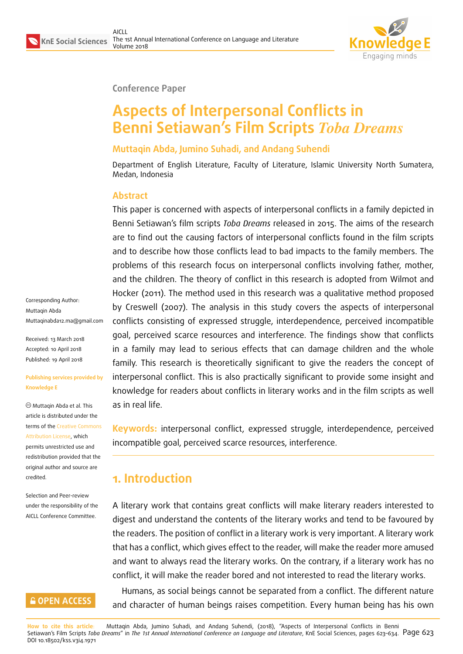

**Conference Paper**

# **Aspects of Interpersonal Conflicts in Benni Setiawan's Film Scripts** *Toba Dreams*

#### **Muttaqin Abda, Jumino Suhadi, and Andang Suhendi**

Department of English Literature, Faculty of Literature, Islamic University North Sumatera, Medan, Indonesia

#### **Abstract**

This paper is concerned with aspects of interpersonal conflicts in a family depicted in Benni Setiawan's film scripts *Toba Dreams* released in 2015. The aims of the research are to find out the causing factors of interpersonal conflicts found in the film scripts and to describe how those conflicts lead to bad impacts to the family members. The problems of this research focus on interpersonal conflicts involving father, mother, and the children. The theory of conflict in this research is adopted from Wilmot and Hocker (2011). The method used in this research was a qualitative method proposed by Creswell (2007). The analysis in this study covers the aspects of interpersonal conflicts consisting of expressed struggle, interdependence, perceived incompatible goal, perceived scarce resources and interference. The findings show that conflicts in a family may lead to serious effects that can damage children and the whole family. This research is theoretically significant to give the readers the concept of interpersonal conflict. This is also practically significant to provide some insight and knowledge for readers about conflicts in literary works and in the film scripts as well as in real life.

**Keywords:** interpersonal conflict, expressed struggle, interdependence, perceived incompatible goal, perceived scarce resources, interference.

### **1. Introduction**

A literary work that contains great conflicts will make literary readers interested to digest and understand the contents of the literary works and tend to be favoured by the readers. The position of conflict in a literary work is very important. A literary work that has a conflict, which gives effect to the reader, will make the reader more amused and want to always read the literary works. On the contrary, if a literary work has no conflict, it will make the reader bored and not interested to read the literary works.

Humans, as social beings cannot be separated from a conflict. The different nature and character of human beings raises competition. Every human being has his own

**How to cite this article**: Muttaqin Abda, Jumino Suhadi, and Andang Suhendi, (2018), "Aspects of Interpersonal Conflicts in Benni Setiawan's Film Scripts *Toba Dreams*" in *The 1st Annual International Conference on Language and Literature*, KnE Social Sciences, pages 623–634. Page 623 DOI 10.18502/kss.v3i4.1971

Corresponding Author: Muttaqin Abda Muttaqinabda12.ma@gmail.com

Received: 13 March 2018 Accepted: 10 April 2018 [Published: 19 April 2018](mailto:Muttaqinabda12.ma@gmail.com)

#### **Publishing services provided by Knowledge E**

Muttaqin Abda et al. This article is distributed under the terms of the Creative Commons Attribution License, which permits unrestricted use and redistribution provided that the original auth[or and source are](https://creativecommons.org/licenses/by/4.0/) [credited.](https://creativecommons.org/licenses/by/4.0/)

Selection and Peer-review under the responsibility of the AICLL Conference Committee.

### **GOPEN ACCESS**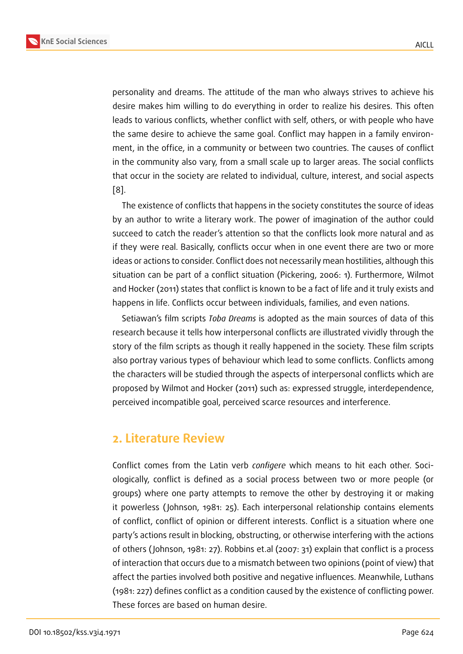personality and dreams. The attitude of the man who always strives to achieve his desire makes him willing to do everything in order to realize his desires. This often leads to various conflicts, whether conflict with self, others, or with people who have the same desire to achieve the same goal. Conflict may happen in a family environment, in the office, in a community or between two countries. The causes of conflict in the community also vary, from a small scale up to larger areas. The social conflicts that occur in the society are related to individual, culture, interest, and social aspects [8].

The existence of conflicts that happens in the society constitutes the source of ideas by an author to write a literary work. The power of imagination of the author could [su](#page-11-0)cceed to catch the reader's attention so that the conflicts look more natural and as if they were real. Basically, conflicts occur when in one event there are two or more ideas or actions to consider. Conflict does not necessarily mean hostilities, although this situation can be part of a conflict situation (Pickering, 2006: 1). Furthermore, Wilmot and Hocker (2011) states that conflict is known to be a fact of life and it truly exists and happens in life. Conflicts occur between individuals, families, and even nations.

Setiawan's film scripts *Toba Dreams* is adopted as the main sources of data of this research because it tells how interpersonal conflicts are illustrated vividly through the story of the film scripts as though it really happened in the society. These film scripts also portray various types of behaviour which lead to some conflicts. Conflicts among the characters will be studied through the aspects of interpersonal conflicts which are proposed by Wilmot and Hocker (2011) such as: expressed struggle, interdependence, perceived incompatible goal, perceived scarce resources and interference.

### **2. Literature Review**

Conflict comes from the Latin verb *configere* which means to hit each other. Sociologically, conflict is defined as a social process between two or more people (or groups) where one party attempts to remove the other by destroying it or making it powerless ( Johnson, 1981: 25). Each interpersonal relationship contains elements of conflict, conflict of opinion or different interests. Conflict is a situation where one party's actions result in blocking, obstructing, or otherwise interfering with the actions of others ( Johnson, 1981: 27). Robbins et.al (2007: 31) explain that conflict is a process of interaction that occurs due to a mismatch between two opinions (point of view) that affect the parties involved both positive and negative influences. Meanwhile, Luthans (1981: 227) defines conflict as a condition caused by the existence of conflicting power. These forces are based on human desire.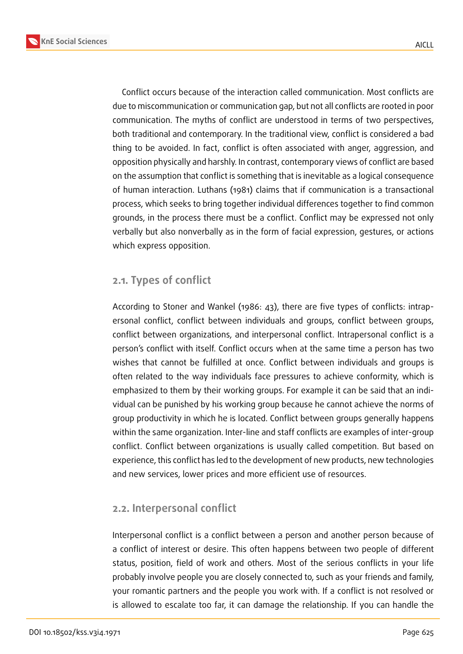



Conflict occurs because of the interaction called communication. Most conflicts are due to miscommunication or communication gap, but not all conflicts are rooted in poor communication. The myths of conflict are understood in terms of two perspectives, both traditional and contemporary. In the traditional view, conflict is considered a bad thing to be avoided. In fact, conflict is often associated with anger, aggression, and opposition physically and harshly. In contrast, contemporary views of conflict are based on the assumption that conflict is something that is inevitable as a logical consequence of human interaction. Luthans (1981) claims that if communication is a transactional process, which seeks to bring together individual differences together to find common grounds, in the process there must be a conflict. Conflict may be expressed not only verbally but also nonverbally as in the form of facial expression, gestures, or actions which express opposition.

#### **2.1. Types of conflict**

According to Stoner and Wankel (1986: 43), there are five types of conflicts: intrapersonal conflict, conflict between individuals and groups, conflict between groups, conflict between organizations, and interpersonal conflict. Intrapersonal conflict is a person's conflict with itself. Conflict occurs when at the same time a person has two wishes that cannot be fulfilled at once. Conflict between individuals and groups is often related to the way individuals face pressures to achieve conformity, which is emphasized to them by their working groups. For example it can be said that an individual can be punished by his working group because he cannot achieve the norms of group productivity in which he is located. Conflict between groups generally happens within the same organization. Inter-line and staff conflicts are examples of inter-group conflict. Conflict between organizations is usually called competition. But based on experience, this conflict has led to the development of new products, new technologies and new services, lower prices and more efficient use of resources.

### **2.2. Interpersonal conflict**

Interpersonal conflict is a conflict between a person and another person because of a conflict of interest or desire. This often happens between two people of different status, position, field of work and others. Most of the serious conflicts in your life probably involve people you are closely connected to, such as your friends and family, your romantic partners and the people you work with. If a conflict is not resolved or is allowed to escalate too far, it can damage the relationship. If you can handle the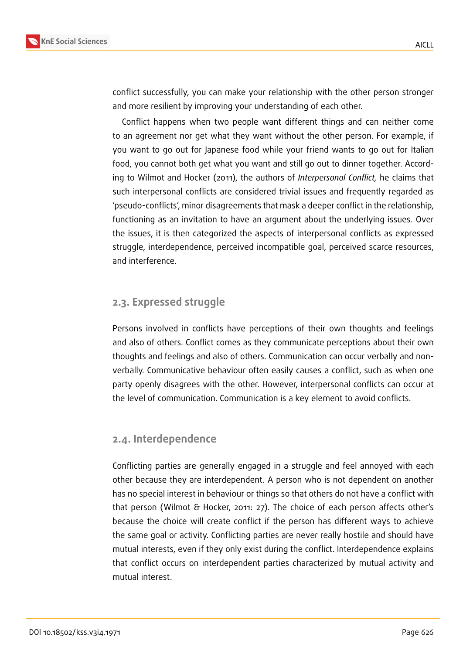

conflict successfully, you can make your relationship with the other person stronger and more resilient by improving your understanding of each other.

Conflict happens when two people want different things and can neither come to an agreement nor get what they want without the other person. For example, if you want to go out for Japanese food while your friend wants to go out for Italian food, you cannot both get what you want and still go out to dinner together. According to Wilmot and Hocker (2011), the authors of *Interpersonal Conflict,* he claims that such interpersonal conflicts are considered trivial issues and frequently regarded as 'pseudo-conflicts', minor disagreements that mask a deeper conflict in the relationship, functioning as an invitation to have an argument about the underlying issues. Over the issues, it is then categorized the aspects of interpersonal conflicts as expressed struggle, interdependence, perceived incompatible goal, perceived scarce resources, and interference.

#### **2.3. Expressed struggle**

Persons involved in conflicts have perceptions of their own thoughts and feelings and also of others. Conflict comes as they communicate perceptions about their own thoughts and feelings and also of others. Communication can occur verbally and nonverbally. Communicative behaviour often easily causes a conflict, such as when one party openly disagrees with the other. However, interpersonal conflicts can occur at the level of communication. Communication is a key element to avoid conflicts.

#### **2.4. Interdependence**

Conflicting parties are generally engaged in a struggle and feel annoyed with each other because they are interdependent. A person who is not dependent on another has no special interest in behaviour or things so that others do not have a conflict with that person (Wilmot & Hocker, 2011: 27). The choice of each person affects other's because the choice will create conflict if the person has different ways to achieve the same goal or activity. Conflicting parties are never really hostile and should have mutual interests, even if they only exist during the conflict. Interdependence explains that conflict occurs on interdependent parties characterized by mutual activity and mutual interest.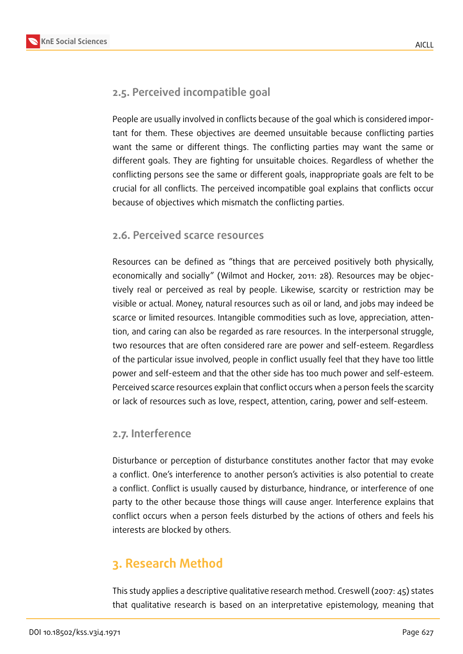### **2.5. Perceived incompatible goal**

People are usually involved in conflicts because of the goal which is considered important for them. These objectives are deemed unsuitable because conflicting parties want the same or different things. The conflicting parties may want the same or different goals. They are fighting for unsuitable choices. Regardless of whether the conflicting persons see the same or different goals, inappropriate goals are felt to be crucial for all conflicts. The perceived incompatible goal explains that conflicts occur because of objectives which mismatch the conflicting parties.

### **2.6. Perceived scarce resources**

Resources can be defined as "things that are perceived positively both physically, economically and socially" (Wilmot and Hocker, 2011: 28). Resources may be objectively real or perceived as real by people. Likewise, scarcity or restriction may be visible or actual. Money, natural resources such as oil or land, and jobs may indeed be scarce or limited resources. Intangible commodities such as love, appreciation, attention, and caring can also be regarded as rare resources. In the interpersonal struggle, two resources that are often considered rare are power and self-esteem. Regardless of the particular issue involved, people in conflict usually feel that they have too little power and self-esteem and that the other side has too much power and self-esteem. Perceived scarce resources explain that conflict occurs when a person feels the scarcity or lack of resources such as love, respect, attention, caring, power and self-esteem.

### **2.7. Interference**

Disturbance or perception of disturbance constitutes another factor that may evoke a conflict. One's interference to another person's activities is also potential to create a conflict. Conflict is usually caused by disturbance, hindrance, or interference of one party to the other because those things will cause anger. Interference explains that conflict occurs when a person feels disturbed by the actions of others and feels his interests are blocked by others.

## **3. Research Method**

This study applies a descriptive qualitative research method. Creswell (2007: 45) states that qualitative research is based on an interpretative epistemology, meaning that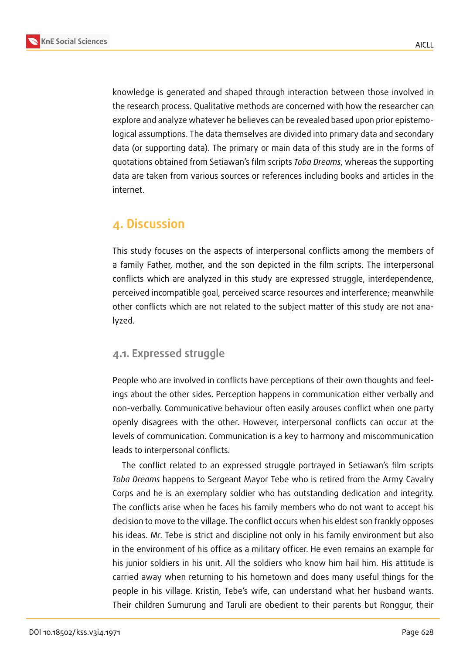

knowledge is generated and shaped through interaction between those involved in the research process. Qualitative methods are concerned with how the researcher can explore and analyze whatever he believes can be revealed based upon prior epistemological assumptions. The data themselves are divided into primary data and secondary data (or supporting data). The primary or main data of this study are in the forms of quotations obtained from Setiawan's film scripts *Toba Dreams*, whereas the supporting data are taken from various sources or references including books and articles in the internet.

### **4. Discussion**

This study focuses on the aspects of interpersonal conflicts among the members of a family Father, mother, and the son depicted in the film scripts. The interpersonal conflicts which are analyzed in this study are expressed struggle, interdependence, perceived incompatible goal, perceived scarce resources and interference; meanwhile other conflicts which are not related to the subject matter of this study are not analyzed.

### **4.1. Expressed struggle**

People who are involved in conflicts have perceptions of their own thoughts and feelings about the other sides. Perception happens in communication either verbally and non-verbally. Communicative behaviour often easily arouses conflict when one party openly disagrees with the other. However, interpersonal conflicts can occur at the levels of communication. Communication is a key to harmony and miscommunication leads to interpersonal conflicts.

The conflict related to an expressed struggle portrayed in Setiawan's film scripts *Toba Dreams* happens to Sergeant Mayor Tebe who is retired from the Army Cavalry Corps and he is an exemplary soldier who has outstanding dedication and integrity. The conflicts arise when he faces his family members who do not want to accept his decision to move to the village. The conflict occurs when his eldest son frankly opposes his ideas. Mr. Tebe is strict and discipline not only in his family environment but also in the environment of his office as a military officer. He even remains an example for his junior soldiers in his unit. All the soldiers who know him hail him. His attitude is carried away when returning to his hometown and does many useful things for the people in his village. Kristin, Tebe's wife, can understand what her husband wants. Their children Sumurung and Taruli are obedient to their parents but Ronggur, their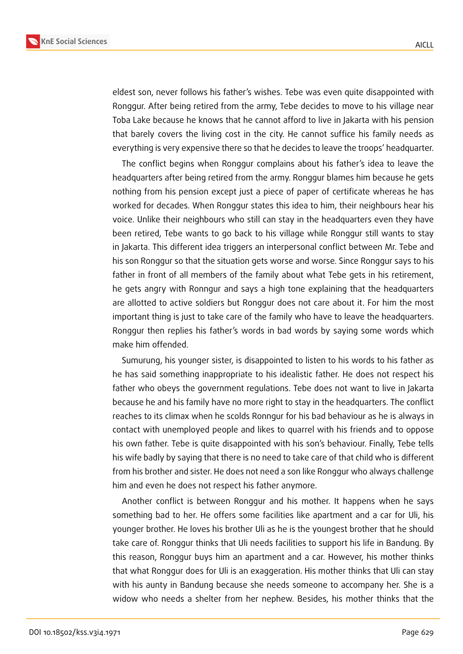



eldest son, never follows his father's wishes. Tebe was even quite disappointed with Ronggur. After being retired from the army, Tebe decides to move to his village near Toba Lake because he knows that he cannot afford to live in Jakarta with his pension that barely covers the living cost in the city. He cannot suffice his family needs as everything is very expensive there so that he decides to leave the troops' headquarter.

The conflict begins when Ronggur complains about his father's idea to leave the headquarters after being retired from the army. Ronggur blames him because he gets nothing from his pension except just a piece of paper of certificate whereas he has worked for decades. When Ronggur states this idea to him, their neighbours hear his voice. Unlike their neighbours who still can stay in the headquarters even they have been retired, Tebe wants to go back to his village while Ronggur still wants to stay in Jakarta. This different idea triggers an interpersonal conflict between Mr. Tebe and his son Ronggur so that the situation gets worse and worse. Since Ronggur says to his father in front of all members of the family about what Tebe gets in his retirement, he gets angry with Ronngur and says a high tone explaining that the headquarters are allotted to active soldiers but Ronggur does not care about it. For him the most important thing is just to take care of the family who have to leave the headquarters. Ronggur then replies his father's words in bad words by saying some words which make him offended.

Sumurung, his younger sister, is disappointed to listen to his words to his father as he has said something inappropriate to his idealistic father. He does not respect his father who obeys the government regulations. Tebe does not want to live in Jakarta because he and his family have no more right to stay in the headquarters. The conflict reaches to its climax when he scolds Ronngur for his bad behaviour as he is always in contact with unemployed people and likes to quarrel with his friends and to oppose his own father. Tebe is quite disappointed with his son's behaviour. Finally, Tebe tells his wife badly by saying that there is no need to take care of that child who is different from his brother and sister. He does not need a son like Ronggur who always challenge him and even he does not respect his father anymore.

Another conflict is between Ronggur and his mother. It happens when he says something bad to her. He offers some facilities like apartment and a car for Uli, his younger brother. He loves his brother Uli as he is the youngest brother that he should take care of. Ronggur thinks that Uli needs facilities to support his life in Bandung. By this reason, Ronggur buys him an apartment and a car. However, his mother thinks that what Ronggur does for Uli is an exaggeration. His mother thinks that Uli can stay with his aunty in Bandung because she needs someone to accompany her. She is a widow who needs a shelter from her nephew. Besides, his mother thinks that the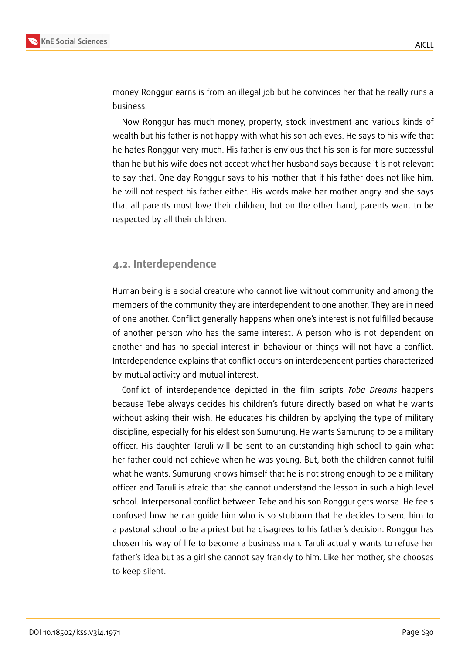

money Ronggur earns is from an illegal job but he convinces her that he really runs a business.

Now Ronggur has much money, property, stock investment and various kinds of wealth but his father is not happy with what his son achieves. He says to his wife that he hates Ronggur very much. His father is envious that his son is far more successful than he but his wife does not accept what her husband says because it is not relevant to say that. One day Ronggur says to his mother that if his father does not like him, he will not respect his father either. His words make her mother angry and she says that all parents must love their children; but on the other hand, parents want to be respected by all their children.

#### **4.2. Interdependence**

Human being is a social creature who cannot live without community and among the members of the community they are interdependent to one another. They are in need of one another. Conflict generally happens when one's interest is not fulfilled because of another person who has the same interest. A person who is not dependent on another and has no special interest in behaviour or things will not have a conflict. Interdependence explains that conflict occurs on interdependent parties characterized by mutual activity and mutual interest.

Conflict of interdependence depicted in the film scripts *Toba Dreams* happens because Tebe always decides his children's future directly based on what he wants without asking their wish. He educates his children by applying the type of military discipline, especially for his eldest son Sumurung. He wants Samurung to be a military officer. His daughter Taruli will be sent to an outstanding high school to gain what her father could not achieve when he was young. But, both the children cannot fulfil what he wants. Sumurung knows himself that he is not strong enough to be a military officer and Taruli is afraid that she cannot understand the lesson in such a high level school. Interpersonal conflict between Tebe and his son Ronggur gets worse. He feels confused how he can guide him who is so stubborn that he decides to send him to a pastoral school to be a priest but he disagrees to his father's decision. Ronggur has chosen his way of life to become a business man. Taruli actually wants to refuse her father's idea but as a girl she cannot say frankly to him. Like her mother, she chooses to keep silent.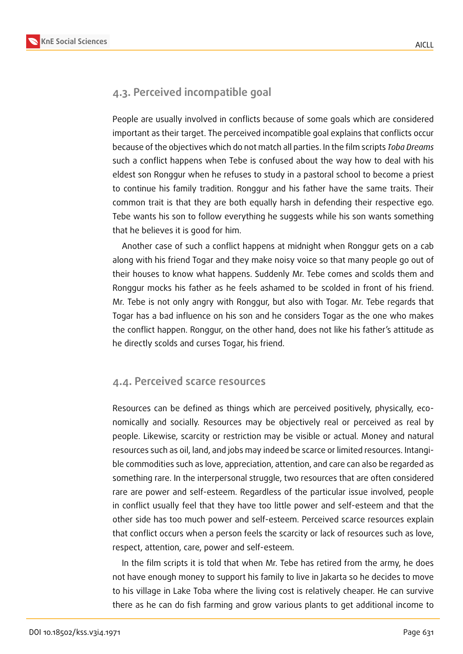

### **4.3. Perceived incompatible goal**

People are usually involved in conflicts because of some goals which are considered important as their target. The perceived incompatible goal explains that conflicts occur because of the objectives which do not match all parties. In the film scripts *Toba Dreams* such a conflict happens when Tebe is confused about the way how to deal with his eldest son Ronggur when he refuses to study in a pastoral school to become a priest to continue his family tradition. Ronggur and his father have the same traits. Their common trait is that they are both equally harsh in defending their respective ego. Tebe wants his son to follow everything he suggests while his son wants something that he believes it is good for him.

Another case of such a conflict happens at midnight when Ronggur gets on a cab along with his friend Togar and they make noisy voice so that many people go out of their houses to know what happens. Suddenly Mr. Tebe comes and scolds them and Ronggur mocks his father as he feels ashamed to be scolded in front of his friend. Mr. Tebe is not only angry with Ronggur, but also with Togar. Mr. Tebe regards that Togar has a bad influence on his son and he considers Togar as the one who makes the conflict happen. Ronggur, on the other hand, does not like his father's attitude as he directly scolds and curses Togar, his friend.

#### **4.4. Perceived scarce resources**

Resources can be defined as things which are perceived positively, physically, economically and socially. Resources may be objectively real or perceived as real by people. Likewise, scarcity or restriction may be visible or actual. Money and natural resources such as oil, land, and jobs may indeed be scarce or limited resources. Intangible commodities such as love, appreciation, attention, and care can also be regarded as something rare. In the interpersonal struggle, two resources that are often considered rare are power and self-esteem. Regardless of the particular issue involved, people in conflict usually feel that they have too little power and self-esteem and that the other side has too much power and self-esteem. Perceived scarce resources explain that conflict occurs when a person feels the scarcity or lack of resources such as love, respect, attention, care, power and self-esteem.

In the film scripts it is told that when Mr. Tebe has retired from the army, he does not have enough money to support his family to live in Jakarta so he decides to move to his village in Lake Toba where the living cost is relatively cheaper. He can survive there as he can do fish farming and grow various plants to get additional income to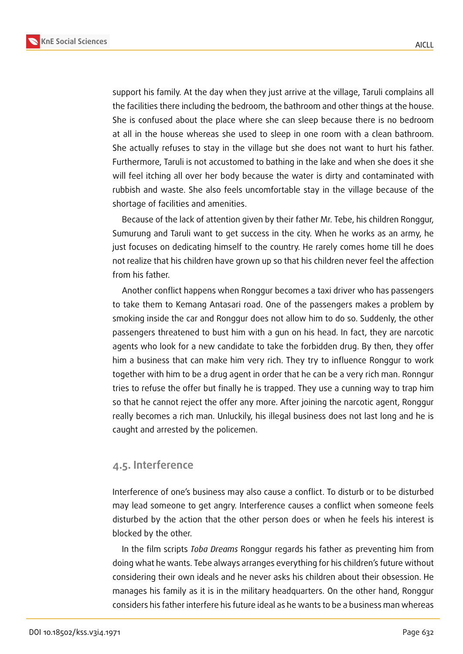



support his family. At the day when they just arrive at the village, Taruli complains all the facilities there including the bedroom, the bathroom and other things at the house. She is confused about the place where she can sleep because there is no bedroom at all in the house whereas she used to sleep in one room with a clean bathroom. She actually refuses to stay in the village but she does not want to hurt his father. Furthermore, Taruli is not accustomed to bathing in the lake and when she does it she will feel itching all over her body because the water is dirty and contaminated with rubbish and waste. She also feels uncomfortable stay in the village because of the shortage of facilities and amenities.

Because of the lack of attention given by their father Mr. Tebe, his children Ronggur, Sumurung and Taruli want to get success in the city. When he works as an army, he just focuses on dedicating himself to the country. He rarely comes home till he does not realize that his children have grown up so that his children never feel the affection from his father.

Another conflict happens when Ronggur becomes a taxi driver who has passengers to take them to Kemang Antasari road. One of the passengers makes a problem by smoking inside the car and Ronggur does not allow him to do so. Suddenly, the other passengers threatened to bust him with a gun on his head. In fact, they are narcotic agents who look for a new candidate to take the forbidden drug. By then, they offer him a business that can make him very rich. They try to influence Ronggur to work together with him to be a drug agent in order that he can be a very rich man. Ronngur tries to refuse the offer but finally he is trapped. They use a cunning way to trap him so that he cannot reject the offer any more. After joining the narcotic agent, Ronggur really becomes a rich man. Unluckily, his illegal business does not last long and he is caught and arrested by the policemen.

#### **4.5. Interference**

Interference of one's business may also cause a conflict. To disturb or to be disturbed may lead someone to get angry. Interference causes a conflict when someone feels disturbed by the action that the other person does or when he feels his interest is blocked by the other.

In the film scripts *Toba Dreams* Ronggur regards his father as preventing him from doing what he wants. Tebe always arranges everything for his children's future without considering their own ideals and he never asks his children about their obsession. He manages his family as it is in the military headquarters. On the other hand, Ronggur considers his father interfere his future ideal as he wants to be a business man whereas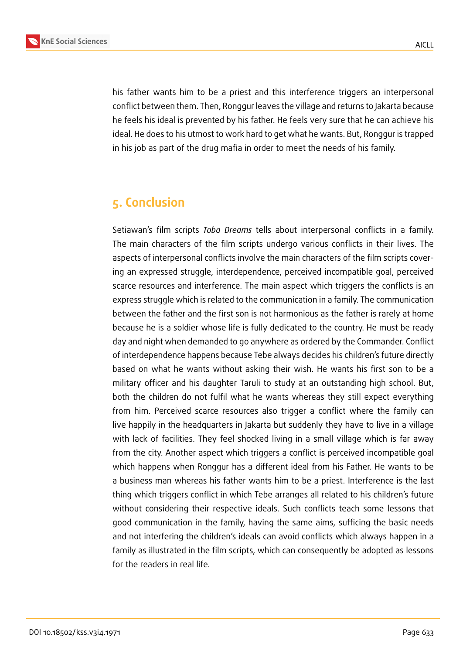

his father wants him to be a priest and this interference triggers an interpersonal conflict between them. Then, Ronggur leaves the village and returns to Jakarta because he feels his ideal is prevented by his father. He feels very sure that he can achieve his ideal. He does to his utmost to work hard to get what he wants. But, Ronggur is trapped in his job as part of the drug mafia in order to meet the needs of his family.

### **5. Conclusion**

Setiawan's film scripts *Toba Dreams* tells about interpersonal conflicts in a family. The main characters of the film scripts undergo various conflicts in their lives. The aspects of interpersonal conflicts involve the main characters of the film scripts covering an expressed struggle, interdependence, perceived incompatible goal, perceived scarce resources and interference. The main aspect which triggers the conflicts is an express struggle which is related to the communication in a family. The communication between the father and the first son is not harmonious as the father is rarely at home because he is a soldier whose life is fully dedicated to the country. He must be ready day and night when demanded to go anywhere as ordered by the Commander. Conflict of interdependence happens because Tebe always decides his children's future directly based on what he wants without asking their wish. He wants his first son to be a military officer and his daughter Taruli to study at an outstanding high school. But, both the children do not fulfil what he wants whereas they still expect everything from him. Perceived scarce resources also trigger a conflict where the family can live happily in the headquarters in Jakarta but suddenly they have to live in a village with lack of facilities. They feel shocked living in a small village which is far away from the city. Another aspect which triggers a conflict is perceived incompatible goal which happens when Ronggur has a different ideal from his Father. He wants to be a business man whereas his father wants him to be a priest. Interference is the last thing which triggers conflict in which Tebe arranges all related to his children's future without considering their respective ideals. Such conflicts teach some lessons that good communication in the family, having the same aims, sufficing the basic needs and not interfering the children's ideals can avoid conflicts which always happen in a family as illustrated in the film scripts, which can consequently be adopted as lessons for the readers in real life.